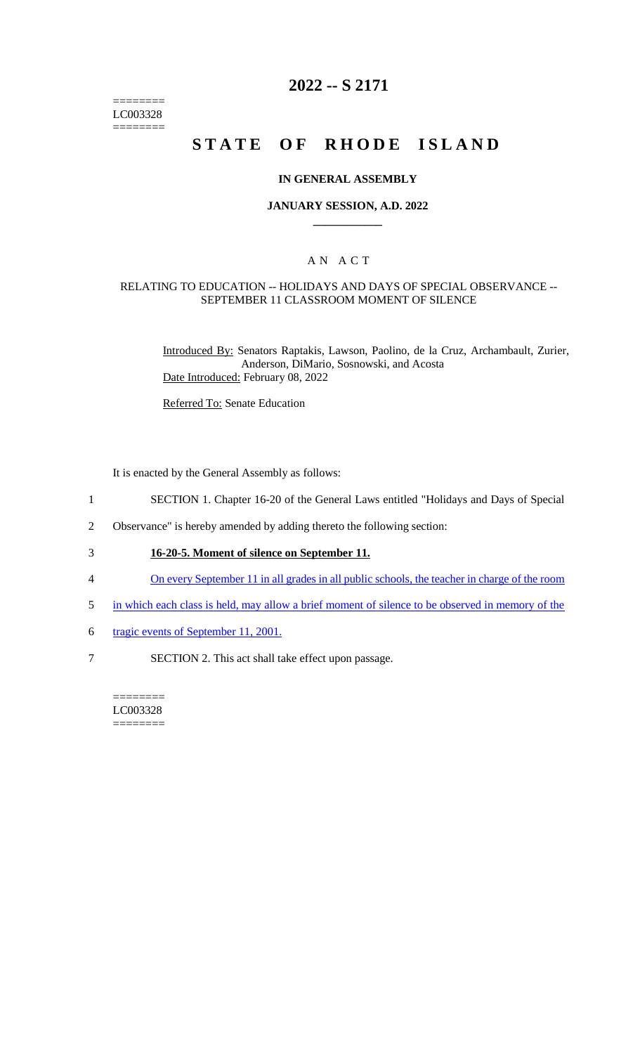======== LC003328  $=$ 

# **2022 -- S 2171**

# **STATE OF RHODE ISLAND**

### **IN GENERAL ASSEMBLY**

### **JANUARY SESSION, A.D. 2022 \_\_\_\_\_\_\_\_\_\_\_\_**

### A N A C T

### RELATING TO EDUCATION -- HOLIDAYS AND DAYS OF SPECIAL OBSERVANCE -- SEPTEMBER 11 CLASSROOM MOMENT OF SILENCE

Introduced By: Senators Raptakis, Lawson, Paolino, de la Cruz, Archambault, Zurier, Anderson, DiMario, Sosnowski, and Acosta Date Introduced: February 08, 2022

Referred To: Senate Education

It is enacted by the General Assembly as follows:

- 1 SECTION 1. Chapter 16-20 of the General Laws entitled "Holidays and Days of Special
- 2 Observance" is hereby amended by adding thereto the following section:
- 3 **16-20-5. Moment of silence on September 11.**
- 4 On every September 11 in all grades in all public schools, the teacher in charge of the room
- 5 in which each class is held, may allow a brief moment of silence to be observed in memory of the
- 6 tragic events of September 11, 2001.
- 7 SECTION 2. This act shall take effect upon passage.

#### ======== LC003328 ========